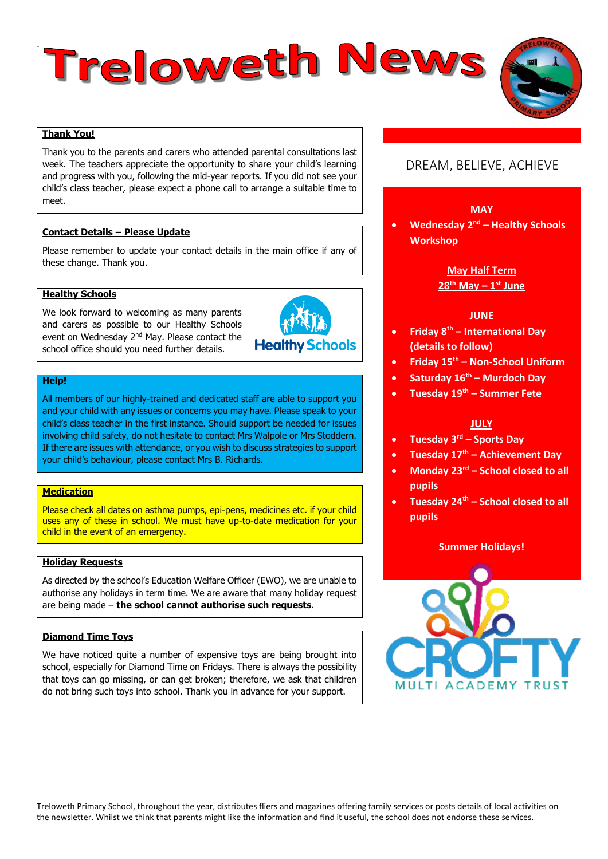# . Treloweth News

# **Thank You!**

Thank you to the parents and carers who attended parental consultations last week. The teachers appreciate the opportunity to share your child's learning and progress with you, following the mid-year reports. If you did not see your child's class teacher, please expect a phone call to arrange a suitable time to meet.

#### **Contact Details – Please Update**

Please remember to update your contact details in the main office if any of these change. Thank you.

#### **Healthy Schools**

We look forward to welcoming as many parents and carers as possible to our Healthy Schools event on Wednesday 2nd May. Please contact the school office should you need further details.



#### **Help!**

All members of our highly-trained and dedicated staff are able to support you and your child with any issues or concerns you may have. Please speak to your child's class teacher in the first instance. Should support be needed for issues involving child safety, do not hesitate to contact Mrs Walpole or Mrs Stoddern. If there are issues with attendance, or you wish to discuss strategies to support your child's behaviour, please contact Mrs B. Richards.

#### **Medication**

Please check all dates on asthma pumps, epi-pens, medicines etc. if your child uses any of these in school. We must have up-to-date medication for your child in the event of an emergency.

#### **Holiday Requests**

As directed by the school's Education Welfare Officer (EWO), we are unable to authorise any holidays in term time. We are aware that many holiday request are being made – **the school cannot authorise such requests**.

#### **Diamond Time Toys**

We have noticed quite a number of expensive toys are being brought into school, especially for Diamond Time on Fridays. There is always the possibility that toys can go missing, or can get broken; therefore, we ask that children do not bring such toys into school. Thank you in advance for your support.

# DREAM, BELIEVE, ACHIEVE

#### **MAY**

**•** Wednesday 2<sup>nd</sup> – Healthy Schools **Workshop**

## **May Half Term 28th May – 1 st June**

#### **JUNE**

- **Friday 8th – International Day (details to follow)**
- **Friday 15th – Non-School Uniform**
- **Saturday 16th – Murdoch Day**
- **Tuesday 19th – Summer Fete**

#### **JULY**

- **Tuesday 3rd – Sports Day**
- **Tuesday 17th – Achievement Day**
- **Monday 23rd – School closed to all pupils**
- **Tuesday 24th – School closed to all pupils**

#### **Summer Holidays!**